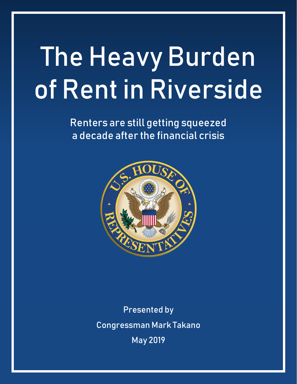# The Heavy Burden of Rent in Riverside

Renters are still getting squeezed a decade after the financial crisis



Presented by Congressman Mark Takano May 2019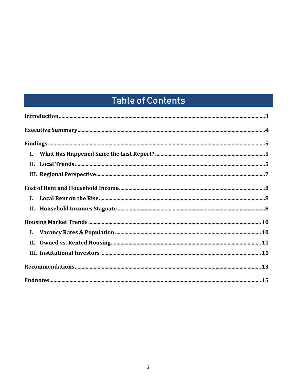# **Table of Contents**

| $\mathbf{I}$ . |  |
|----------------|--|
|                |  |
|                |  |
| $\mathbf{I}$ . |  |
|                |  |
|                |  |
|                |  |
|                |  |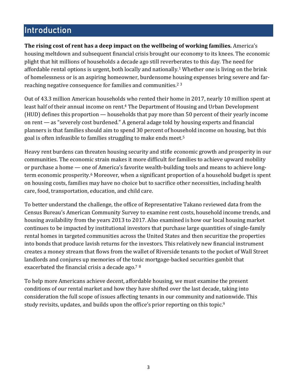# <span id="page-2-0"></span>**Introduction**

**The rising cost of rent has a deep impact on the wellbeing of working families.** America's housing meltdown and subsequent financial crisis brought our economy to its knees. The economic plight that hit millions of households a decade ago still reverberates to this day. The need for affordable rental options is urgent, both locally and nationally.<sup>1</sup> Whether one is living on the brink of homelessness or is an aspiring homeowner, burdensome housing expenses bring severe and farreaching negative consequence for families and communities.<sup>2</sup> <sup>3</sup>

Out of 43.3 million American households who rented their home in 2017, nearly 10 million spent at least half of their annual income on rent.<sup>4</sup> The Department of Housing and Urban Development (HUD) defines this proportion — households that pay more than 50 percent of their yearly income on rent — as "severely cost burdened." A general adage told by housing experts and financial planners is that families should aim to spend 30 percent of household income on housing, but this goal is often infeasible to families struggling to make ends meet. 5

Heavy rent burdens can threaten housing security and stifle economic growth and prosperity in our communities. The economic strain makes it more difficult for families to achieve upward mobility or purchase a home — one of America's favorite wealth-building tools and means to achieve longterm economic prosperity.<sup>6</sup> Moreover, when a significant proportion of a household budget is spent on housing costs, families may have no choice but to sacrifice other necessities, including health care, food, transportation, education, and child care.

To better understand the challenge, the office of Representative Takano reviewed data from the Census Bureau's American Community Survey to examine rent costs, household income trends, and housing availability from the years 2013 to 2017. Also examined is how our local housing market continues to be impacted by institutional investors that purchase large quantities of single-family rental homes in targeted communities across the United States and then securitize the properties into bonds that produce lavish returns for the investors. This relatively new financial instrument creates a money stream that flows from the wallet of Riverside tenants to the pocket of Wall Street landlords and conjures up memories of the toxic mortgage-backed securities gambit that exacerbated the financial crisis a decade ago.<sup>7</sup> <sup>8</sup>

<span id="page-2-1"></span>To help more Americans achieve decent, affordable housing, we must examine the present conditions of our rental market and how they have shifted over the last decade, taking into consideration the full scope of issues affecting tenants in our community and nationwide. This study revisits, updates, and builds upon the office's prior reporting on this topic.<sup>9</sup>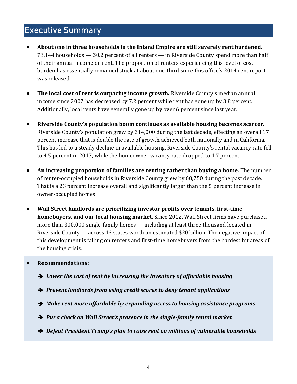#### Executive Summary

- **About one in three households in the Inland Empire are still severely rent burdened.**  73,144 households — 30.2 percent of all renters — in Riverside County spend more than half of their annual income on rent. The proportion of renters experiencing this level of cost burden has essentially remained stuck at about one-third since this office's 2014 rent report was released.
- **The local cost of rent is outpacing income growth.** Riverside County's median annual income since 2007 has decreased by 7.2 percent while rent has gone up by 3.8 percent. Additionally, local rents have generally gone up by over 6 percent since last year.
- **Riverside County's population boom continues as available housing becomes scarcer.** Riverside County's population grew by 314,000 during the last decade, effecting an overall 17 percent increase that is double the rate of growth achieved both nationally and in California. This has led to a steady decline in available housing. Riverside County's rental vacancy rate fell to 4.5 percent in 2017, while the homeowner vacancy rate dropped to 1.7 percent.
- **An increasing proportion of families are renting rather than buying a home.** The number of renter-occupied households in Riverside County grew by 60,750 during the past decade. That is a 23 percent increase overall and significantly larger than the 5 percent increase in owner-occupied homes.
- **Wall Street landlords are prioritizing investor profits over tenants, first-time homebuyers, and our local housing market.** Since 2012, Wall Street firms have purchased more than 300,000 single-family homes — including at least three thousand located in Riverside County — across 13 states worth an estimated \$20 billion. The negative impact of this development is falling on renters and first-time homebuyers from the hardest hit areas of the housing crisis.

#### • **Recommendations:**

- ➔ *Lower the cost of rent by increasing the inventory of affordable housing*
- ➔ *Prevent landlords from using credit scores to deny tenant applications*
- ➔ *Make rent more affordable by expanding access to housing assistance programs*
- ➔ *Put a check on Wall Street's presence in the single-family rental market*
- ➔ *Defeat President Trump's plan to raise rent on millions of vulnerable households*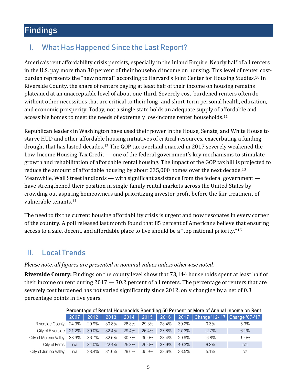# <span id="page-4-0"></span>Findings

#### <span id="page-4-1"></span>I. What Has Happened Since the Last Report?

America's rent affordability crisis persists, especially in the Inland Empire. Nearly half of all renters in the U.S. pay more than 30 percent of their household income on housing. This level of renter costburden represents the "new normal" according to Harvard's Joint Center for Housing Studies.<sup>10</sup> In Riverside County, the share of renters paying at least half of their income on housing remains plateaued at an unacceptable level of about one-third. Severely cost-burdened renters often do without other necessities that are critical to their long- and short-term personal health, education, and economic prosperity. Today, not a single state holds an adequate supply of affordable and accessible homes to meet the needs of extremely low-income renter households.<sup>11</sup>

Republican leaders in Washington have used their power in the House, Senate, and White House to starve HUD and other affordable housing initiatives of critical resources, exacerbating a funding drought that has lasted decades.<sup>12</sup> The GOP tax overhaul enacted in 2017 severely weakened the Low-Income Housing Tax Credit — one of the federal government's key mechanisms to stimulate growth and rehabilitation of affordable rental housing. The impact of the GOP tax bill is projected to reduce the amount of affordable housing by about 235,000 homes over the next decade.<sup>13</sup> Meanwhile, Wall Street landlords — with significant assistance from the federal government have strengthened their position in single-family rental markets across the United States by crowding out aspiring homeowners and prioritizing investor profit before the fair treatment of vulnerable tenants. 14

The need to fix the current housing affordability crisis is urgent and now resonates in every corner of the country. A poll released last month found that 85 percent of Americans believe that ensuring access to a safe, decent, and affordable place to live should be a "top national priority."<sup>15</sup>

#### <span id="page-4-2"></span>II. Local Trends

#### *Please note, all figures are presented in nominal values unless otherwise noted.*

**Riverside County:** Findings on the county level show that 73,144 households spent at least half of their income on rent during 2017 — 30.2 percent of all renters. The percentage of renters that are severely cost burdened has not varied significantly since 2012, only changing by a net of 0.3 percentage points in five years.

| Percentage of Rental Households Spending 50 Percent or More of Annual Income on Rent |       |       |       |             |          |       |       |          |                                               |  |  |  |
|--------------------------------------------------------------------------------------|-------|-------|-------|-------------|----------|-------|-------|----------|-----------------------------------------------|--|--|--|
|                                                                                      | 2007  | 2012  |       | $2013$ 2014 | 2015     |       |       |          | 2016   2017   Change '12-'17   Change '07-'17 |  |  |  |
| Riverside County 24.9%                                                               |       | 29.9% | 30.8% | 28.8%       | 29.3%    | 28.4% | 30.2% | $0.3\%$  | 5.3%                                          |  |  |  |
| City of Riverside 21.2%                                                              |       | 30.0% | 32.4% | 29.4%       | 26.4%    | 27.8% | 27.3% | $-2.7\%$ | 6.1%                                          |  |  |  |
| City of Moreno Valley                                                                | 38.9% | 36.7% | 32.5% | 30.7%       | $30.0\%$ | 28.4% | 29.9% | $-6.8\%$ | $-9.0\%$                                      |  |  |  |
| City of Perris                                                                       | n/a   | 34.0% | 22.4% | 25.3%       | 20.6%    | 37.9% | 40.3% | 6.3%     | n/a                                           |  |  |  |
| City of Jurupa Valley                                                                | n/a   | 28.4% | 31.6% | 29.6%       | 35.9%    | 33.6% | 33.5% | 5.1%     | n/a                                           |  |  |  |

#### Percentage of Rental Households Spending 50 Percent or More of Annual Income on Rent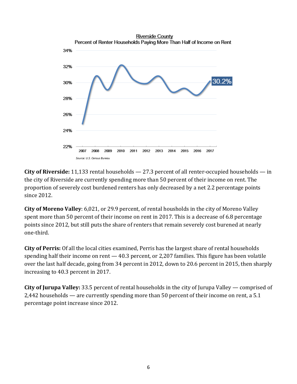

**City of Riverside:** 11,133 rental households — 27.3 percent of all renter-occupied households — in the city of Riverside are currently spending more than 50 percent of their income on rent. The proportion of severely cost burdened renters has only decreased by a net 2.2 percentage points since 2012.

**City of Moreno Valley**: 6,021, or 29.9 percent, of rental housholds in the city of Moreno Valley spent more than 50 percent of their income on rent in 2017. This is a decrease of 6.8 percentage points since 2012, but still puts the share of renters that remain severely cost burened at nearly one-third.

**City of Perris:** Of all the local cities examined, Perris has the largest share of rental households spending half their income on rent — 40.3 percent, or 2,207 families. This figure has been volatile over the last half decade, going from 34 percent in 2012, down to 20.6 percent in 2015, then sharply increasing to 40.3 percent in 2017.

**City of Jurupa Valley:** 33.5 percent of rental households in the city of Jurupa Valley — comprised of 2,442 households — are currently spending more than 50 percent of their income on rent, a 5.1 percentage point increase since 2012.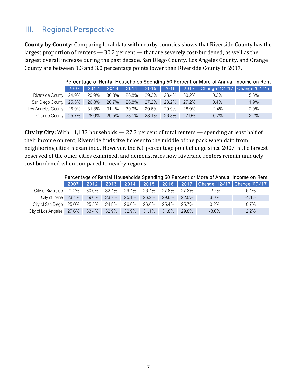#### <span id="page-6-0"></span>III. Regional Perspective

**County by County:** Comparing local data with nearby counties shows that Riverside County has the largest proportion of renters — 30.2 percent — that are severely cost-burdened, as well as the largest overall increase during the past decade. San Diego County, Los Angeles County, and Orange County are between 1.3 and 3.0 percentage points lower than Riverside County in 2017.

|                              | Percentage of Rental Households Spending 50 Percent or More of Annual Income on Rent |             |       |       |       |       |       |          |                                                                           |  |  |  |  |
|------------------------------|--------------------------------------------------------------------------------------|-------------|-------|-------|-------|-------|-------|----------|---------------------------------------------------------------------------|--|--|--|--|
|                              | 2007                                                                                 |             |       |       |       |       |       |          | 2012   2013   2014   2015   2016   2017   Change '12-'17   Change '07-'17 |  |  |  |  |
| Riverside County 24.9%       |                                                                                      | 29.9%       | 30.8% | 28.8% | 29.3% | 28.4% | 30.2% | $0.3\%$  | 5.3%                                                                      |  |  |  |  |
| San Diego County 25.3% 26.8% |                                                                                      |             | 26.7% | 26.8% | 27.2% | 28.2% | 27.2% | 0.4%     | 1.9%                                                                      |  |  |  |  |
| Los Angeles County 26.9%     |                                                                                      | 31.3% 31.1% |       | 30.9% | 29.6% | 29.9% | 28.9% | $-2.4\%$ | 2.0%                                                                      |  |  |  |  |
| Orange County 25.7% 28.6%    |                                                                                      |             | 29.5% | 28.1% | 28.1% | 26.8% | 27.9% | $-0.7\%$ | 2.2%                                                                      |  |  |  |  |

**City by City:** With 11,133 households — 27.3 percent of total renters — spending at least half of their income on rent, Riverside finds itself closer to the middle of the pack when data from neighboring cities is examined. However, the 6.1 percentage point change since 2007 is the largest observed of the other cities examined, and demonstrates how Riverside renters remain uniquely cost burdened when compared to nearby regions.

<span id="page-6-1"></span>

|                                        |         |       |             |             |          |             |         |          | Percentage of Rental Households Spending 50 Percent or More of Annual Income on Rent |
|----------------------------------------|---------|-------|-------------|-------------|----------|-------------|---------|----------|--------------------------------------------------------------------------------------|
|                                        | $-2007$ |       | $2012$ 2013 |             |          |             |         |          | 2014   2015   2016   2017   Change '12-'17   Change '07-'17                          |
| City of Riverside $21.2\%$ 30.0%       |         |       | 32.4%       | 29.4% 26.4% |          | 27.8%       | - 27.3% | $-2.7\%$ | $6.1\%$                                                                              |
| City of Irvine 23.1% 19.0% 23.7% 25.1% |         |       |             |             | $26.2\%$ | 29.6% 22.0% |         | $3.0\%$  | $-1.1\%$                                                                             |
| City of San Diego 25.0%                |         | 25.5% | 24.8%       | 26.0%       | 26.6%    | 25.4%       | 25.7%   | $0.2\%$  | $0.7\%$                                                                              |
| City of Los Angeles 27.6% 33.4% 32.9%  |         |       |             | $32.9\%$    | $31.1\%$ | 31.8%       | 29.8%   | $-3.6\%$ | 2.2%                                                                                 |

#### 7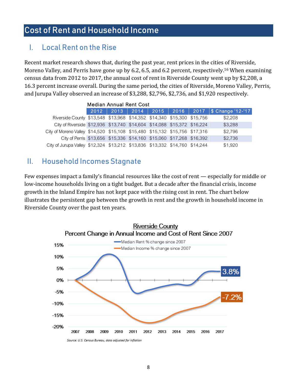## Cost of Rent and Household Income

#### <span id="page-7-0"></span>I. Local Rent on the Rise

Recent market research shows that, during the past year, rent prices in the cities of Riverside, Moreno Valley, and Perris have gone up by 6.2, 6.5, and 6.2 percent, respectively.<sup>16</sup> When examining census data from 2012 to 2017, the annual cost of rent in Riverside County went up by \$2,208, a 16.3 percent increase overall. During the same period, the cities of Riverside, Moreno Valley, Perris, and Jurupa Valley observed an increase of \$3,288, \$2,796, \$2,736, and \$1,920 respectively.

|                                                                             | <b>Median Annual Rent Cost</b> |  |  |  |  |                                                             |  |  |  |  |  |  |  |  |
|-----------------------------------------------------------------------------|--------------------------------|--|--|--|--|-------------------------------------------------------------|--|--|--|--|--|--|--|--|
|                                                                             |                                |  |  |  |  | 2012   2013   2014   2015   2016   2017   \$ Change '12-'17 |  |  |  |  |  |  |  |  |
| Riverside County \$13,548 \$13,968 \$14,352 \$14,340 \$15,300 \$15,756      |                                |  |  |  |  | \$2,208                                                     |  |  |  |  |  |  |  |  |
| City of Riverside \$12,936 \$13,740 \$14,604 \$14,088 \$15,372 \$16,224     |                                |  |  |  |  | \$3,288                                                     |  |  |  |  |  |  |  |  |
| City of Moreno Valley \$14,520 \$15,108 \$15,480 \$15,132 \$15,756 \$17,316 |                                |  |  |  |  | \$2,796                                                     |  |  |  |  |  |  |  |  |
| City of Perris \$13,656 \$15,336 \$14,160 \$15,060 \$17,268 \$16,392        |                                |  |  |  |  | \$2,736                                                     |  |  |  |  |  |  |  |  |
| City of Jurupa Valley \$12,324 \$13,212 \$13,836 \$13,332 \$14,760 \$14,244 |                                |  |  |  |  | \$1,920                                                     |  |  |  |  |  |  |  |  |

#### <span id="page-7-1"></span>II. Household Incomes Stagnate

Few expenses impact a family's financial resources like the cost of rent — especially for middle or low-income households living on a tight budget. But a decade after the financial crisis, income growth in the Inland Empire has not kept pace with the rising cost in rent. The chart below illustrates the persistent gap between the growth in rent and the growth in household income in Riverside County over the past ten years.

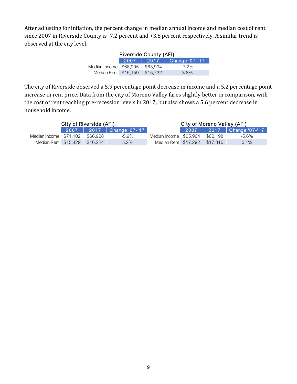After adjusting for inflation, the percent change in median annual income and median cost of rent since 2007 in Riverside County is -7.2 percent and +3.8 percent respectively. A similar trend is observed at the city level.

|                                 | <b>Riverside County (AFI)</b> |          |          |  |  |  |  |  |  |  |  |  |
|---------------------------------|-------------------------------|----------|----------|--|--|--|--|--|--|--|--|--|
|                                 | 2017   Change '07-'17         |          |          |  |  |  |  |  |  |  |  |  |
| Median Income \$68,905 \$63,994 |                               |          | $-7.2\%$ |  |  |  |  |  |  |  |  |  |
| Median Rent \$15,159            |                               | \$15.732 | 3.8%     |  |  |  |  |  |  |  |  |  |

The city of Riverside observed a 5.9 percentage point decrease in income and a 5.2 percentage point increase in rent price. Data from the city of Moreno Valley fares slightly better in comparison, with the cost of rent reaching pre-recession levels in 2017, but also shows a 5.6 percent decrease in household income.

|                                 | City of Riverside (AFI) |                              | City of Moreno Valley (AFI)   |  |          |         |  |  |
|---------------------------------|-------------------------|------------------------------|-------------------------------|--|----------|---------|--|--|
|                                 |                         | 2007   2017   Change '07-'17 |                               |  |          |         |  |  |
| Median Income \$71,102 \$66.928 |                         | -5.9%                        | Median Income \$65,904        |  | \$62.198 | -5.6%   |  |  |
| Median Rent \$15,429 \$16,224   |                         | $5.2\%$                      | Median Rent \$17,292 \$17,316 |  |          | $0.1\%$ |  |  |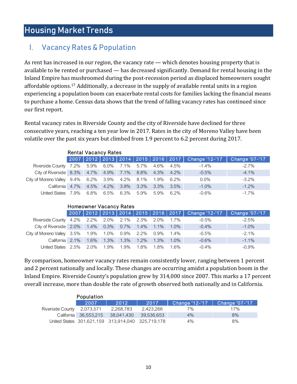## <span id="page-9-0"></span>Housing Market Trends

#### <span id="page-9-1"></span>I. Vacancy Rates & Population

As rent has increased in our region, the vacancy rate — which denotes housing property that is available to be rented or purchased — has decreased significantly. Demand for rental housing in the Inland Empire has mushroomed during the post-recession period as displaced homeowners sought affordable options.<sup>17</sup> Additionally, a decrease in the supply of available rental units in a region experiencing a population boom can exacerbate rental costs for families lacking the financial means to purchase a home. Census data shows that the trend of falling vacancy rates has continued since our first report.

Rental vacancy rates in Riverside County and the city of Riverside have declined for three consecutive years, reaching a ten year low in 2017. Rates in the city of Moreno Valley have been volatile over the past six years but climbed from 1.9 percent to 6.2 percent during 2017.

|                                                 | <b>Rental Vacancy Rates</b> |         |  |           |         |      |         |                                                                    |          |  |  |  |  |  |
|-------------------------------------------------|-----------------------------|---------|--|-----------|---------|------|---------|--------------------------------------------------------------------|----------|--|--|--|--|--|
|                                                 |                             |         |  |           |         |      |         | 2007 2012 2013 2014 2015 2016 2017 Change '12-'17   Change '07-'17 |          |  |  |  |  |  |
| Riverside County 7.2% 5.9% 6.0% 7.1% 5.7% 4.6%  |                             |         |  |           |         |      | 4.5%    | $-1.4\%$                                                           | $-2.7\%$ |  |  |  |  |  |
| City of Riverside 8.3% 4.7% 4.9% 7.1% 8.8% 4.3% |                             |         |  |           |         |      | 4.2%    | $-0.5\%$                                                           | $-4.1%$  |  |  |  |  |  |
| City of Moreno Valley 9.4% 6.2% 3.9% 4.2% 8.1%  |                             |         |  |           |         | 1.9% | 6.2%    | $0.0\%$                                                            | $-3.2\%$ |  |  |  |  |  |
| California 4.7%                                 |                             | $4.5\%$ |  | 4.2% 3.9% | $3.3\%$ | 3.3% | $3.5\%$ | $-1.0\%$                                                           | $-1.2\%$ |  |  |  |  |  |
| United States 7.9%                              |                             | 6.8%    |  | 6.5% 6.3% | 5.9%    | 5.9% | 6.2%    | $-0.6%$                                                            | $-1.7\%$ |  |  |  |  |  |

#### Homeowner Vacancy Rates

|                                                          |  |  |  |      |          | 2007 2012 2013 2014 2015 2016 2017 Change '12-'17 Change '07-'17 |
|----------------------------------------------------------|--|--|--|------|----------|------------------------------------------------------------------|
| Riverside County 4.2% 2.2% 2.0% 2.1% 2.3% 2.0% 1.7%      |  |  |  |      | $-0.5\%$ | -2.5%                                                            |
| City of Riverside 2.0% 1.4% 0.3% 0.7% 1.4% 1.1% 1.0%     |  |  |  |      | $-0.4\%$ | $-1.0\%$                                                         |
| City of Moreno Valley 3.5% 1.9% 1.0% 0.9% 2.2% 0.9% 1.4% |  |  |  |      | $-0.5\%$ | $-2.1%$                                                          |
| California 2.1% 1.6% 1.3% 1.3% 1.2% 1.3% 1.0%            |  |  |  |      | $-0.6%$  | $-1.1\%$                                                         |
| United States 2.5% 2.0% 1.9% 1.9% 1.8% 1.8%              |  |  |  | 1.6% | $-0.4\%$ | $-0.9\%$                                                         |

By comparison, homeowner vacancy rates remain consistently lower, ranging between 1 percent and 2 percent nationally and locally. These changes are occurring amidst a population boom in the Inland Empire. Riverside County's population grew by 314,000 since 2007. This marks a 17 percent overall increase, more than double the rate of growth observed both nationally and in California.

|                            | Population            |                                                   |            |                |                |
|----------------------------|-----------------------|---------------------------------------------------|------------|----------------|----------------|
|                            | 2007                  | 2012                                              | 2017       | Change '12-'17 | Change '07-'17 |
| Riverside County 2,073,571 |                       | 2,268,783                                         | 2.423.266  | 7%             | 17%            |
|                            | California 36,553,215 | 38.041.430                                        | 39.536.653 | $4\%$          | 8%             |
|                            |                       | United States 301,621,159 313,914,040 325,719,178 |            | $4\%$          | 8%             |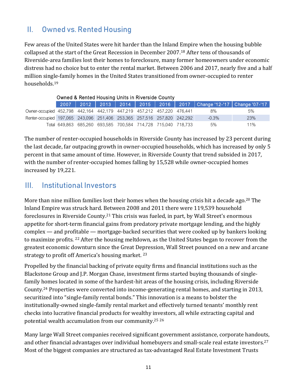## <span id="page-10-0"></span>II. Owned vs. Rented Housing

Few areas of the United States were hit harder than the Inland Empire when the housing bubble collapsed at the start of the Great Recession in December 2007.<sup>18</sup> After tens of thousands of Riverside-area families lost their homes to foreclosure, many former homeowners under economic distress had no choice but to enter the rental market. Between 2006 and 2017, nearly five and a half million single-family homes in the United States transitioned from owner-occupied to renter households.<sup>19</sup>

|                                                                         | Owned & Rented Housing Units in Riverside County |  |                                                               |  |  |  |  |                                                                                  |     |  |  |  |  |
|-------------------------------------------------------------------------|--------------------------------------------------|--|---------------------------------------------------------------|--|--|--|--|----------------------------------------------------------------------------------|-----|--|--|--|--|
|                                                                         |                                                  |  |                                                               |  |  |  |  | 2007   2012   2013   2014   2015   2016   2017   Change '12-'17   Change '07-'17 |     |  |  |  |  |
| Owner-occupied 452,798 442,164 442,179 447,219 457,212 457,220 476,441  |                                                  |  |                                                               |  |  |  |  | 8%                                                                               | 5%  |  |  |  |  |
| Renter-occupied 197,065 243,096 251,406 253,365 257,516 257,820 242,292 |                                                  |  |                                                               |  |  |  |  | $-0.3\%$                                                                         | 23% |  |  |  |  |
|                                                                         |                                                  |  | Total 649.863 685.260 693.585 700.584 714.728 715.040 718.733 |  |  |  |  | 5%                                                                               | 11% |  |  |  |  |

The number of renter-occupied households in Riverside County has increased by 23 percent during the last decade, far outpacing growth in owner-occupied households, which has increased by only 5 percent in that same amount of time. However, in Riverside County that trend subsided in 2017, with the number of renter-occupied homes falling by 15,528 while owner-occupied homes increased by 19,221.

#### <span id="page-10-1"></span>III. Institutional Investors

More than nine million families lost their homes when the housing crisis hit a decade ago.<sup>20</sup> The Inland Empire was struck hard. Between 2008 and 2011 there were 119,539 household foreclosures in Riverside County.<sup>21</sup> This crisis was fueled, in part, by Wall Street's enormous appetite for short-term financial gains from predatory private mortgage lending, and the highly complex — and profitable — mortgage-backed securities that were cooked up by bankers looking to maximize profits. <sup>22</sup> After the housing meltdown, as the United States began to recover from the greatest economic downturn since the Great Depression, Wall Street pounced on a new and arcane strategy to profit off America's housing market. <sup>23</sup> Owned Readed Housing Units in Riverside County<br>
2007 2007 2012 2013 2014 2015 2016 2016 2017 (Change 12-171 American Companies are structured as tax-advantaged Real Estate Investment County and AP, 198 447,198 447,198 47,

Propelled by the financial backing of private equity firms and financial institutions such as the Blackstone Group and J.P. Morgan Chase, investment firms started buying thousands of singlefamily homes located in some of the hardest-hit areas of the housing crisis, including Riverside County. <sup>24</sup> Properties were converted into income-generating rental homes, and starting in 2013, securitized into "single-family rental bonds." This innovation is a means to bolster the institutionally-owned single-family rental market and effectively turned tenants' monthly rent checks into lucrative financial products for wealthy investors, all while extracting capital and potential wealth accumulation from our community.<sup>25</sup> <sup>26</sup>

Many large Wall Street companies received significant government assistance, corporate handouts, and other financial advantages over individual homebuyers and small-scale real estate investors.<sup>27</sup>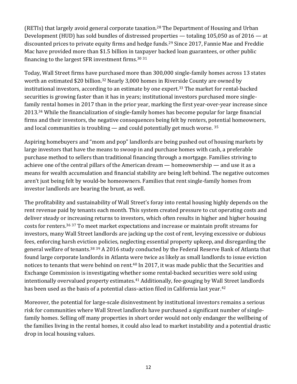(RETIs) that largely avoid general corporate taxation.<sup>28</sup> The Department of Housing and Urban Development (HUD) has sold bundles of distressed properties — totaling 105,050 as of 2016 — at discounted prices to private equity firms and hedge funds. <sup>29</sup> Since 2017, Fannie Mae and Freddie Mac have provided more than \$1.5 billion in taxpayer backed loan guarantees, or other public financing to the largest SFR investment firms.<sup>30</sup> <sup>31</sup>

Today, Wall Street firms have purchased more than 300,000 single-family homes across 13 states worth an estimated \$20 billion.<sup>32</sup> Nearly 3,000 homes in Riverside County are owned by institutional investors, according to an estimate by one expert.<sup>33</sup> The market for rental-backed securities is growing faster than it has in years; institutional investors purchased more singlefamily rental homes in 2017 than in the prior year, marking the first year-over-year increase since 2013.<sup>34</sup> While the financialization of single-family homes has become popular for large financial firms and their investors, the negative consequences being felt by renters, potential homeowners, and local communities is troubling  $-$  and could potentially get much worse.  $35$ 

Aspiring homebuyers and "mom and pop" landlords are being pushed out of housing markets by large investors that have the means to swoop in and purchase homes with cash, a preferable purchase method to sellers than traditional financing through a mortgage. Families striving to achieve one of the central pillars of the American dream — homeownership — and use it as a means for wealth accumulation and financial stability are being left behind. The negative outcomes aren't just being felt by would-be homeowners. Families that rent single-family homes from investor landlords are bearing the brunt, as well.

The profitability and sustainability of Wall Street's foray into rental housing highly depends on the rent revenue paid by tenants each month. This system created pressure to cut operating costs and deliver steady or increasing returns to investors, which often results in higher and higher housing costs for renters.<sup>36</sup> <sup>37</sup> To meet market expectations and increase or maintain profit streams for investors, many Wall Street landlords are jacking up the cost of rent, levying excessive or dubious fees, enforcing harsh eviction policies, neglecting essential property upkeep, and disregarding the general welfare of tenants.<sup>38 39</sup> A 2016 study conducted by the Federal Reserve Bank of Atlanta that found large corporate landlords in Atlanta were twice as likely as small landlords to issue eviction notices to tenants that were behind on rent.<sup>40</sup> In 2017, it was made public that the Securities and Exchange Commission is investigating whether some rental-backed securities were sold using intentionally overvalued property estimates.<sup>41</sup> Additionally, fee-gouging by Wall Street landlords has been used as the basis of a potential class-action filed in California last year.<sup>42</sup>

<span id="page-11-0"></span>Moreover, the potential for large-scale disinvestment by institutional investors remains a serious risk for communities where Wall Street landlords have purchased a significant number of singlefamily homes. Selling off many properties in short order would not only endanger the wellbeing of the families living in the rental homes, it could also lead to market instability and a potential drastic drop in local housing values.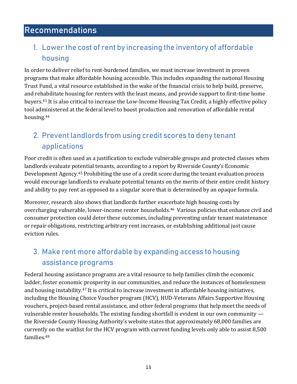# Recommendations

#### 1. Lower the cost of rent by increasing the inventory of affordable housing

In order to deliver relief to rent-burdened families, we must increase investment in proven programs that make affordable housing accessible. This includes expanding the national Housing Trust Fund, a vital resource established in the wake of the financial crisis to help build, preserve, and rehabilitate housing for renters with the least means, and provide support to first-time home buyers.<sup>43</sup> It is also critical to increase the Low-Income Housing Tax Credit, a highly effective policy tool administered at the federal level to boost production and renovation of affordable rental housing.<sup>44</sup>

### 2. Prevent landlords from using credit scores to deny tenant applications

Poor credit is often used as a justification to exclude vulnerable groups and protected classes when landlords evaluate potential tenants, according to a report by Riverside County's Economic Development Agency.<sup>45</sup> Prohibiting the use of a credit score during the tenant evaluation process would encourage landlords to evaluate potential tenants on the merits of their entire credit history and ability to pay rent as opposed to a singular score that is determined by an opaque formula.

Moreover, research also shows that landlords further exacerbate high housing costs by overcharging vulnerable, lower-income renter households.<sup>46</sup> Various policies that enhance civil and consumer protection could deter these outcomes, including preventing unfair tenant maintenance or repair obligations, restricting arbitrary rent increases, or establishing additional just cause eviction rules.

## 3. Make rent more affordable by expanding access to housing assistance programs

Federal housing assistance programs are a vital resource to help families climb the economic ladder, foster economic prosperity in our communities, and reduce the instances of homelessness and housing instability.<sup>47</sup> It is critical to increase investment in affordable housing initiatives, including the Housing Choice Voucher program (HCV), HUD-Veterans Affairs Supportive Housing vouchers, project-based rental assistance, and other federal programs that help meet the needs of vulnerable renter households. The existing funding shortfall is evident in our own community the Riverside County Housing Authority's website states that approximately 68,000 families are currently on the waitlist for the HCV program with current funding levels only able to assist 8,500 families.48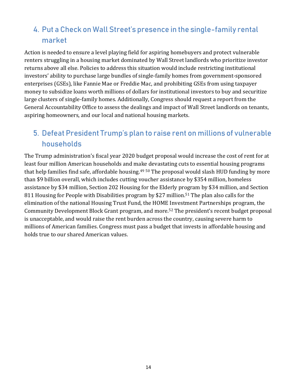# 4. Put a Check on Wall Street's presence in the single-family rental market

Action is needed to ensure a level playing field for aspiring homebuyers and protect vulnerable renters struggling in a housing market dominated by Wall Street landlords who prioritize investor returns above all else. Policies to address this situation would include restricting institutional investors' ability to purchase large bundles of single-family homes from government-sponsored enterprises (GSEs), like Fannie Mae or Freddie Mac, and prohibiting GSEs from using taxpayer money to subsidize loans worth millions of dollars for institutional investors to buy and securitize large clusters of single-family homes. Additionally, Congress should request a report from the General Accountability Office to assess the dealings and impact of Wall Street landlords on tenants, aspiring homeowners, and our local and national housing markets.

## 5. Defeat President Trump's plan to raise rent on millions of vulnerable households

The Trump administration's fiscal year 2020 budget proposal would increase the cost of rent for at least four million American households and make devastating cuts to essential housing programs that help families find safe, affordable housing.<sup>49 50</sup> The proposal would slash HUD funding by more than \$9 billion overall, which includes cutting voucher assistance by \$354 million, homeless assistance by \$34 million, Section 202 Housing for the Elderly program by \$34 million, and Section 811 Housing for People with Disabilities program by \$27 million.<sup>51</sup> The plan also calls for the elimination of the national Housing Trust Fund, the HOME Investment Partnerships program, the Community Development Block Grant program, and more.<sup>52</sup> The president's recent budget proposal is unacceptable, and would raise the rent burden across the country, causing severe harm to millions of American families. Congress must pass a budget that invests in affordable housing and holds true to our shared American values.